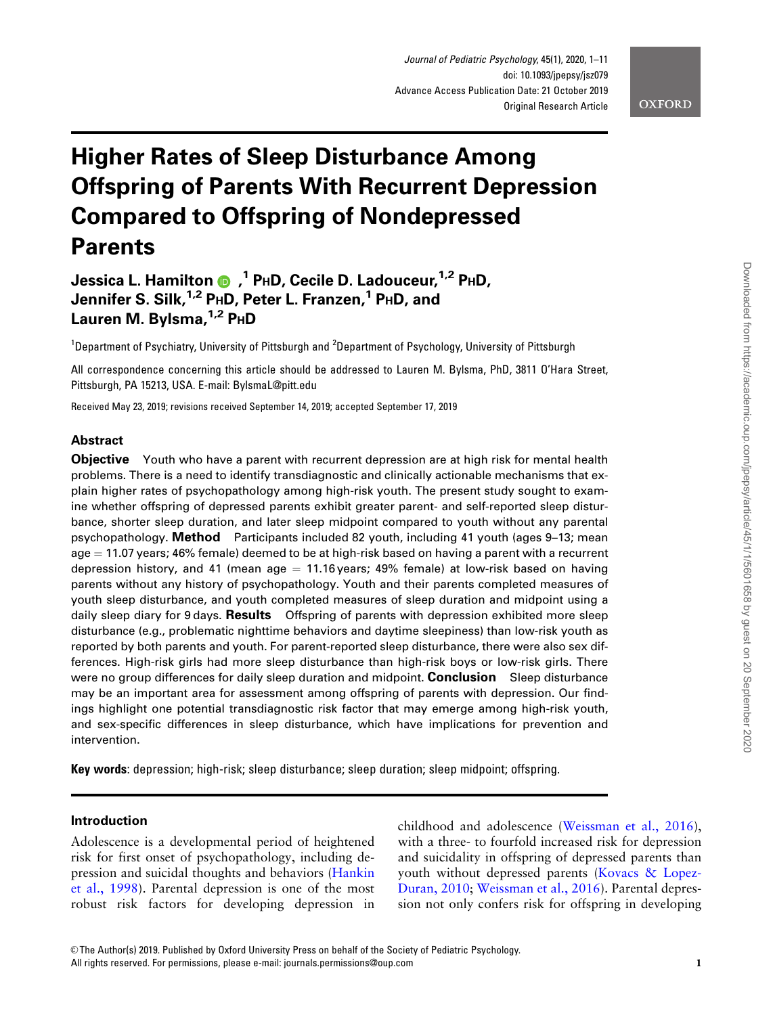# Higher Rates of Sleep Disturbance Among Offspring of Parents With Recurrent Depression Compared to Offspring of Nondepressed

Parents

Jessica L. Hamilton , <sup>1</sup> PHD, Cecile D. Ladouceur,1,2 PHD, Jennifer S. Silk,<sup>1,2</sup> PHD, Peter L. Franzen,<sup>1</sup> PHD, and Lauren M. Bylsma, <sup>1,2</sup> PHD

<sup>1</sup>Department of Psychiatry, University of Pittsburgh and <sup>2</sup>Department of Psychology, University of Pittsburgh

All correspondence concerning this article should be addressed to Lauren M. Bylsma, PhD, 3811 O'Hara Street, Pittsburgh, PA 15213, USA. E-mail: BylsmaL@pitt.edu

Received May 23, 2019; revisions received September 14, 2019; accepted September 17, 2019

# Abstract

**Objective** Youth who have a parent with recurrent depression are at high risk for mental health problems. There is a need to identify transdiagnostic and clinically actionable mechanisms that explain higher rates of psychopathology among high-risk youth. The present study sought to examine whether offspring of depressed parents exhibit greater parent- and self-reported sleep disturbance, shorter sleep duration, and later sleep midpoint compared to youth without any parental psychopathology. Method Participants included 82 youth, including 41 youth (ages 9–13; mean  $age = 11.07$  years; 46% female) deemed to be at high-risk based on having a parent with a recurrent depression history, and 41 (mean age  $= 11.16$  years; 49% female) at low-risk based on having parents without any history of psychopathology. Youth and their parents completed measures of youth sleep disturbance, and youth completed measures of sleep duration and midpoint using a daily sleep diary for 9 days. **Results** Offspring of parents with depression exhibited more sleep disturbance (e.g., problematic nighttime behaviors and daytime sleepiness) than low-risk youth as reported by both parents and youth. For parent-reported sleep disturbance, there were also sex differences. High-risk girls had more sleep disturbance than high-risk boys or low-risk girls. There were no group differences for daily sleep duration and midpoint. Conclusion Sleep disturbance may be an important area for assessment among offspring of parents with depression. Our findings highlight one potential transdiagnostic risk factor that may emerge among high-risk youth, and sex-specific differences in sleep disturbance, which have implications for prevention and intervention.

Key words: depression; high-risk; sleep disturbance; sleep duration; sleep midpoint; offspring.

## Introduction

Adolescence is a developmental period of heightened risk for first onset of psychopathology, including depression and suicidal thoughts and behaviors ([Hankin](#page-8-0) [et al., 1998](#page-8-0)). Parental depression is one of the most robust risk factors for developing depression in childhood and adolescence ([Weissman et al., 2016\)](#page-9-0), with a three- to fourfold increased risk for depression and suicidality in offspring of depressed parents than youth without depressed parents [\(Kovacs & Lopez-](#page-9-0)[Duran, 2010;](#page-9-0) [Weissman et al., 2016\)](#page-9-0). Parental depression not only confers risk for offspring in developing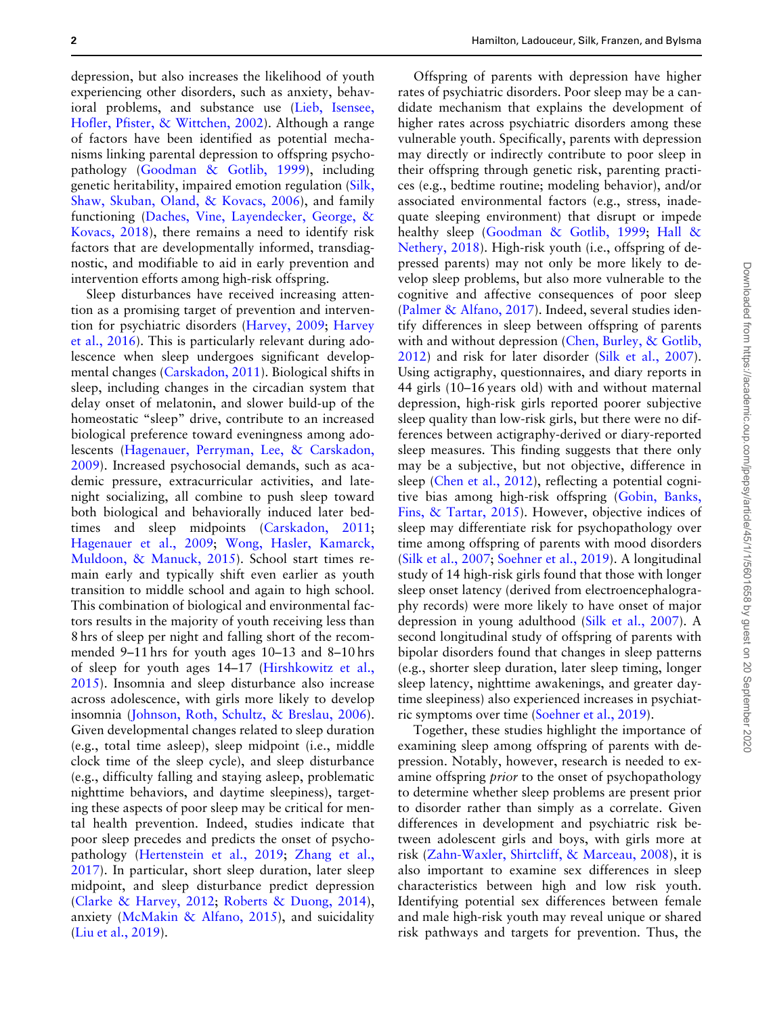depression, but also increases the likelihood of youth experiencing other disorders, such as anxiety, behavioral problems, and substance use [\(Lieb, Isensee,](#page-9-0) [Hofler, Pfister, & Wittchen, 2002](#page-9-0)). Although a range of factors have been identified as potential mechanisms linking parental depression to offspring psychopathology [\(Goodman & Gotlib, 1999](#page-8-0)), including genetic heritability, impaired emotion regulation ([Silk,](#page-9-0) [Shaw, Skuban, Oland, & Kovacs, 2006](#page-9-0)), and family functioning [\(Daches, Vine, Layendecker, George,](#page-8-0) & [Kovacs, 2018\)](#page-8-0), there remains a need to identify risk factors that are developmentally informed, transdiagnostic, and modifiable to aid in early prevention and intervention efforts among high-risk offspring.

Sleep disturbances have received increasing attention as a promising target of prevention and intervention for psychiatric disorders ([Harvey, 2009](#page-8-0); [Harvey](#page-8-0) [et al., 2016\)](#page-8-0). This is particularly relevant during adolescence when sleep undergoes significant developmental changes [\(Carskadon, 2011\)](#page-8-0). Biological shifts in sleep, including changes in the circadian system that delay onset of melatonin, and slower build-up of the homeostatic "sleep" drive, contribute to an increased biological preference toward eveningness among adolescents [\(Hagenauer, Perryman, Lee,](#page-8-0) & [Carskadon,](#page-8-0) [2009\)](#page-8-0). Increased psychosocial demands, such as academic pressure, extracurricular activities, and latenight socializing, all combine to push sleep toward both biological and behaviorally induced later bedtimes and sleep midpoints [\(Carskadon, 2011;](#page-8-0) [Hagenauer et al., 2009](#page-8-0); [Wong, Hasler, Kamarck,](#page-10-0) [Muldoon,](#page-10-0) & [Manuck, 2015\)](#page-10-0). School start times remain early and typically shift even earlier as youth transition to middle school and again to high school. This combination of biological and environmental factors results in the majority of youth receiving less than 8 hrs of sleep per night and falling short of the recommended 9–11 hrs for youth ages 10–13 and 8–10 hrs of sleep for youth ages 14–17 ([Hirshkowitz et al.,](#page-9-0) [2015\)](#page-9-0). Insomnia and sleep disturbance also increase across adolescence, with girls more likely to develop insomnia [\(Johnson, Roth, Schultz, & Breslau, 2006\)](#page-9-0). Given developmental changes related to sleep duration (e.g., total time asleep), sleep midpoint (i.e., middle clock time of the sleep cycle), and sleep disturbance (e.g., difficulty falling and staying asleep, problematic nighttime behaviors, and daytime sleepiness), targeting these aspects of poor sleep may be critical for mental health prevention. Indeed, studies indicate that poor sleep precedes and predicts the onset of psychopathology [\(Hertenstein et al., 2019](#page-8-0); [Zhang et al.,](#page-10-0) [2017\)](#page-10-0). In particular, short sleep duration, later sleep midpoint, and sleep disturbance predict depression ([Clarke & Harvey, 2012](#page-8-0); [Roberts](#page-9-0) & [Duong, 2014\)](#page-9-0), anxiety ([McMakin & Alfano, 2015\)](#page-9-0), and suicidality ([Liu et al., 2019](#page-9-0)).

Offspring of parents with depression have higher rates of psychiatric disorders. Poor sleep may be a candidate mechanism that explains the development of higher rates across psychiatric disorders among these vulnerable youth. Specifically, parents with depression may directly or indirectly contribute to poor sleep in their offspring through genetic risk, parenting practices (e.g., bedtime routine; modeling behavior), and/or associated environmental factors (e.g., stress, inadequate sleeping environment) that disrupt or impede healthy sleep ([Goodman & Gotlib, 1999;](#page-8-0) [Hall](#page-8-0) & [Nethery, 2018\)](#page-8-0). High-risk youth (i.e., offspring of depressed parents) may not only be more likely to develop sleep problems, but also more vulnerable to the cognitive and affective consequences of poor sleep ([Palmer & Alfano, 2017\)](#page-9-0). Indeed, several studies identify differences in sleep between offspring of parents with and without depression ([Chen, Burley, & Gotlib,](#page-8-0) [2012\)](#page-8-0) and risk for later disorder ([Silk et al., 2007\)](#page-9-0). Using actigraphy, questionnaires, and diary reports in 44 girls (10–16 years old) with and without maternal depression, high-risk girls reported poorer subjective sleep quality than low-risk girls, but there were no differences between actigraphy-derived or diary-reported sleep measures. This finding suggests that there only may be a subjective, but not objective, difference in sleep ([Chen et al., 2012\)](#page-8-0), reflecting a potential cognitive bias among high-risk offspring [\(Gobin, Banks,](#page-8-0) [Fins, & Tartar, 2015](#page-8-0)). However, objective indices of sleep may differentiate risk for psychopathology over time among offspring of parents with mood disorders ([Silk et al., 2007;](#page-9-0) [Soehner et al., 2019\)](#page-9-0). A longitudinal study of 14 high-risk girls found that those with longer sleep onset latency (derived from electroencephalography records) were more likely to have onset of major depression in young adulthood [\(Silk et al., 2007](#page-9-0)). A second longitudinal study of offspring of parents with bipolar disorders found that changes in sleep patterns (e.g., shorter sleep duration, later sleep timing, longer sleep latency, nighttime awakenings, and greater daytime sleepiness) also experienced increases in psychiatric symptoms over time ([Soehner et al., 2019](#page-9-0)).

Together, these studies highlight the importance of examining sleep among offspring of parents with depression. Notably, however, research is needed to examine offspring prior to the onset of psychopathology to determine whether sleep problems are present prior to disorder rather than simply as a correlate. Given differences in development and psychiatric risk between adolescent girls and boys, with girls more at risk [\(Zahn-Waxler, Shirtcliff, & Marceau, 2008\)](#page-10-0), it is also important to examine sex differences in sleep characteristics between high and low risk youth. Identifying potential sex differences between female and male high-risk youth may reveal unique or shared risk pathways and targets for prevention. Thus, the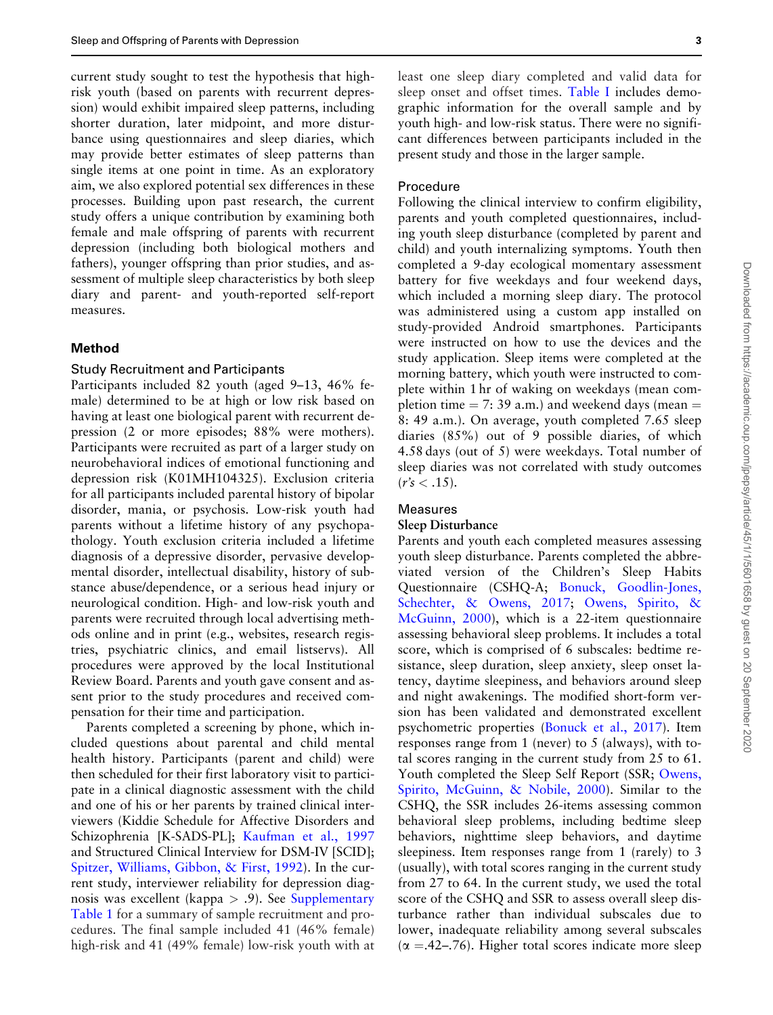current study sought to test the hypothesis that highrisk youth (based on parents with recurrent depression) would exhibit impaired sleep patterns, including shorter duration, later midpoint, and more disturbance using questionnaires and sleep diaries, which may provide better estimates of sleep patterns than single items at one point in time. As an exploratory aim, we also explored potential sex differences in these processes. Building upon past research, the current study offers a unique contribution by examining both female and male offspring of parents with recurrent depression (including both biological mothers and fathers), younger offspring than prior studies, and assessment of multiple sleep characteristics by both sleep diary and parent- and youth-reported self-report measures.

#### Method

## Study Recruitment and Participants

Participants included 82 youth (aged 9–13, 46% female) determined to be at high or low risk based on having at least one biological parent with recurrent depression (2 or more episodes; 88% were mothers). Participants were recruited as part of a larger study on neurobehavioral indices of emotional functioning and depression risk (K01MH104325). Exclusion criteria for all participants included parental history of bipolar disorder, mania, or psychosis. Low-risk youth had parents without a lifetime history of any psychopathology. Youth exclusion criteria included a lifetime diagnosis of a depressive disorder, pervasive developmental disorder, intellectual disability, history of substance abuse/dependence, or a serious head injury or neurological condition. High- and low-risk youth and parents were recruited through local advertising methods online and in print (e.g., websites, research registries, psychiatric clinics, and email listservs). All procedures were approved by the local Institutional Review Board. Parents and youth gave consent and assent prior to the study procedures and received compensation for their time and participation.

Parents completed a screening by phone, which included questions about parental and child mental health history. Participants (parent and child) were then scheduled for their first laboratory visit to participate in a clinical diagnostic assessment with the child and one of his or her parents by trained clinical interviewers (Kiddie Schedule for Affective Disorders and Schizophrenia [K-SADS-PL]; [Kaufman et al., 1997](#page-9-0) and Structured Clinical Interview for DSM-IV [SCID]; [Spitzer, Williams, Gibbon,](#page-9-0) & [First, 1992\)](#page-9-0). In the current study, interviewer reliability for depression diagnosis was excellent (kappa  $> .9$ ). See [Supplementary](https://academic.oup.com/jpepsy/article-lookup/doi/10.1093/jpepsy/jsz079#supplementary-data) [Table 1](https://academic.oup.com/jpepsy/article-lookup/doi/10.1093/jpepsy/jsz079#supplementary-data) for a summary of sample recruitment and procedures. The final sample included 41 (46% female) high-risk and 41 (49% female) low-risk youth with at

least one sleep diary completed and valid data for sleep onset and offset times. [Table I](#page-3-0) includes demographic information for the overall sample and by youth high- and low-risk status. There were no significant differences between participants included in the present study and those in the larger sample.

## Procedure

Following the clinical interview to confirm eligibility, parents and youth completed questionnaires, including youth sleep disturbance (completed by parent and child) and youth internalizing symptoms. Youth then completed a 9-day ecological momentary assessment battery for five weekdays and four weekend days, which included a morning sleep diary. The protocol was administered using a custom app installed on study-provided Android smartphones. Participants were instructed on how to use the devices and the study application. Sleep items were completed at the morning battery, which youth were instructed to complete within 1 hr of waking on weekdays (mean completion time  $= 7: 39$  a.m.) and weekend days (mean  $=$ 8: 49 a.m.). On average, youth completed 7.65 sleep diaries (85%) out of 9 possible diaries, of which 4.58 days (out of 5) were weekdays. Total number of sleep diaries was not correlated with study outcomes  $(r's < .15)$ .

## Measures

## Sleep Disturbance

Parents and youth each completed measures assessing youth sleep disturbance. Parents completed the abbreviated version of the Children's Sleep Habits Questionnaire (CSHQ-A; [Bonuck, Goodlin-Jones,](#page-8-0) [Schechter, & Owens, 2017](#page-8-0); [Owens, Spirito,](#page-9-0) & [McGuinn, 2000\)](#page-9-0), which is a 22-item questionnaire assessing behavioral sleep problems. It includes a total score, which is comprised of 6 subscales: bedtime resistance, sleep duration, sleep anxiety, sleep onset latency, daytime sleepiness, and behaviors around sleep and night awakenings. The modified short-form version has been validated and demonstrated excellent psychometric properties ([Bonuck et al., 2017](#page-8-0)). Item responses range from 1 (never) to 5 (always), with total scores ranging in the current study from 25 to 61. Youth completed the Sleep Self Report (SSR; [Owens,](#page-9-0) [Spirito, McGuinn, & Nobile, 2000\)](#page-9-0). Similar to the CSHQ, the SSR includes 26-items assessing common behavioral sleep problems, including bedtime sleep behaviors, nighttime sleep behaviors, and daytime sleepiness. Item responses range from 1 (rarely) to 3 (usually), with total scores ranging in the current study from 27 to 64. In the current study, we used the total score of the CSHQ and SSR to assess overall sleep disturbance rather than individual subscales due to lower, inadequate reliability among several subscales  $(\alpha = .42-.76)$ . Higher total scores indicate more sleep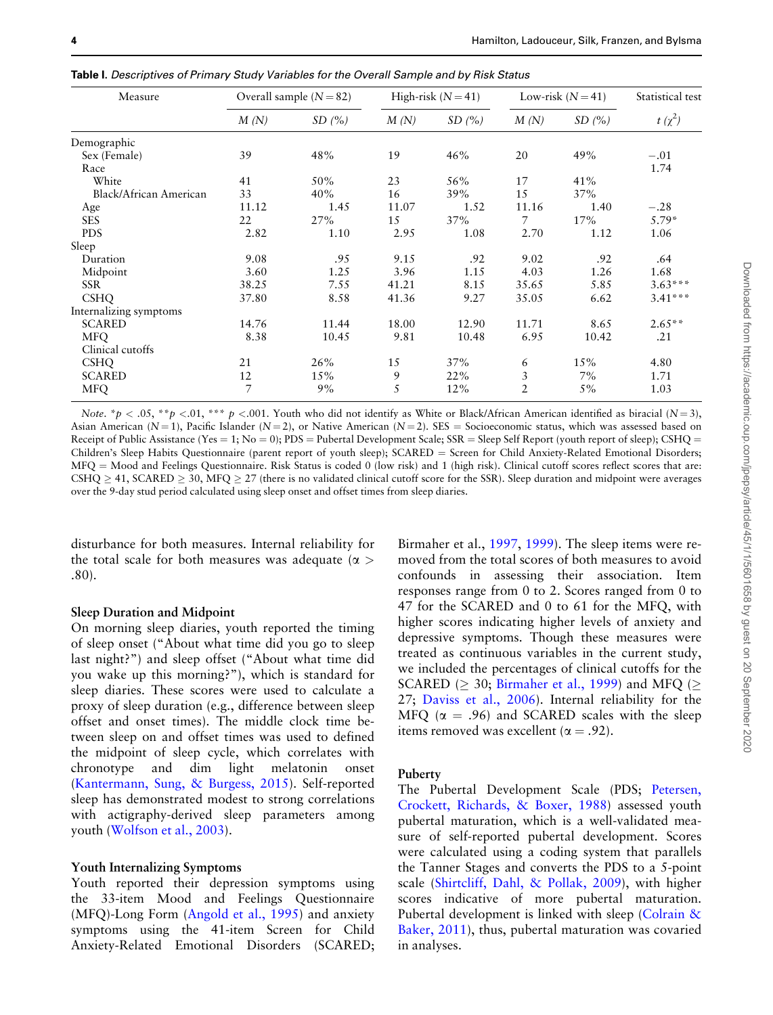| Measure                | Overall sample $(N = 82)$ |       | High-risk $(N = 41)$ |       | Low-risk $(N=41)$ |       | Statistical test |  |
|------------------------|---------------------------|-------|----------------------|-------|-------------------|-------|------------------|--|
|                        | M(N)                      | SD(%) | M(N)                 | SD(%) | M(N)              | SD(%) | $t(\chi^2)$      |  |
| Demographic            |                           |       |                      |       |                   |       |                  |  |
| Sex (Female)           | 39                        | 48%   | 19                   | 46%   | 20                | 49%   | $-.01$           |  |
| Race                   |                           |       |                      |       |                   |       | 1.74             |  |
| White                  | 41                        | 50%   | 23                   | 56%   | 17                | 41%   |                  |  |
| Black/African American | 33                        | 40%   | 16                   | 39%   | 15                | 37%   |                  |  |
| Age                    | 11.12                     | 1.45  | 11.07                | 1.52  | 11.16             | 1.40  | $-.28$           |  |
| <b>SES</b>             | 22                        | 27%   | 15                   | 37%   | 7                 | 17%   | $5.79*$          |  |
| <b>PDS</b>             | 2.82                      | 1.10  | 2.95                 | 1.08  | 2.70              | 1.12  | 1.06             |  |
| Sleep                  |                           |       |                      |       |                   |       |                  |  |
| Duration               | 9.08                      | .95   | 9.15                 | .92   | 9.02              | .92   | .64              |  |
| Midpoint               | 3.60                      | 1.25  | 3.96                 | 1.15  | 4.03              | 1.26  | 1.68             |  |
| <b>SSR</b>             | 38.25                     | 7.55  | 41.21                | 8.15  | 35.65             | 5.85  | $3.63***$        |  |
| <b>CSHO</b>            | 37.80                     | 8.58  | 41.36                | 9.27  | 35.05             | 6.62  | $3.41***$        |  |
| Internalizing symptoms |                           |       |                      |       |                   |       |                  |  |
| <b>SCARED</b>          | 14.76                     | 11.44 | 18.00                | 12.90 | 11.71             | 8.65  | $2.65***$        |  |
| <b>MFO</b>             | 8.38                      | 10.45 | 9.81                 | 10.48 | 6.95              | 10.42 | .21              |  |
| Clinical cutoffs       |                           |       |                      |       |                   |       |                  |  |
| <b>CSHO</b>            | 21                        | 26%   | 15                   | 37%   | 6                 | 15%   | 4.80             |  |
| <b>SCARED</b>          | 12                        | 15%   | 9                    | 22%   | 3                 | $7\%$ | 1.71             |  |
| <b>MFQ</b>             | 7                         | 9%    | 5                    | 12%   | $\overline{2}$    | 5%    | 1.03             |  |

<span id="page-3-0"></span>Table I. Descriptives of Primary Study Variables for the Overall Sample and by Risk Status

Note. \*p < .05, \*\*p <.01, \*\*\* p <.001. Youth who did not identify as White or Black/African American identified as biracial (N=3), Asian American (N = 1), Pacific Islander (N = 2), or Native American (N = 2). SES = Socioeconomic status, which was assessed based on Receipt of Public Assistance (Yes = 1; No = 0); PDS = Pubertal Development Scale; SSR = Sleep Self Report (youth report of sleep); CSHQ = Children's Sleep Habits Questionnaire (parent report of youth sleep); SCARED = Screen for Child Anxiety-Related Emotional Disorders; MFQ = Mood and Feelings Questionnaire. Risk Status is coded 0 (low risk) and 1 (high risk). Clinical cutoff scores reflect scores that are: CSHQ  $\geq$  41, SCARED  $\geq$  30, MFQ  $\geq$  27 (there is no validated clinical cutoff score for the SSR). Sleep duration and midpoint were averages over the 9-day stud period calculated using sleep onset and offset times from sleep diaries.

disturbance for both measures. Internal reliability for the total scale for both measures was adequate ( $\alpha$  > .80).

## Sleep Duration and Midpoint

On morning sleep diaries, youth reported the timing of sleep onset ("About what time did you go to sleep last night?") and sleep offset ("About what time did you wake up this morning?"), which is standard for sleep diaries. These scores were used to calculate a proxy of sleep duration (e.g., difference between sleep offset and onset times). The middle clock time between sleep on and offset times was used to defined the midpoint of sleep cycle, which correlates with chronotype and dim light melatonin onset ([Kantermann, Sung,](#page-9-0) [& Burgess, 2015\)](#page-9-0). Self-reported sleep has demonstrated modest to strong correlations with actigraphy-derived sleep parameters among youth [\(Wolfson et al., 2003\)](#page-10-0).

#### Youth Internalizing Symptoms

Youth reported their depression symptoms using the 33-item Mood and Feelings Questionnaire (MFQ)-Long Form ([Angold et al., 1995](#page-8-0)) and anxiety symptoms using the 41-item Screen for Child Anxiety-Related Emotional Disorders (SCARED;

Birmaher et al., [1997,](#page-8-0) [1999\)](#page-8-0). The sleep items were removed from the total scores of both measures to avoid confounds in assessing their association. Item responses range from 0 to 2. Scores ranged from 0 to 47 for the SCARED and 0 to 61 for the MFQ, with higher scores indicating higher levels of anxiety and depressive symptoms. Though these measures were treated as continuous variables in the current study, we included the percentages of clinical cutoffs for the SCARED ( $\geq 30$ ; [Birmaher et al., 1999](#page-8-0)) and MFQ ( $\geq$ 27; [Daviss et al., 2006\)](#page-8-0). Internal reliability for the MFQ ( $\alpha$  = .96) and SCARED scales with the sleep items removed was excellent ( $\alpha = .92$ ).

#### Puberty

The Pubertal Development Scale (PDS; [Petersen,](#page-9-0) [Crockett, Richards,](#page-9-0) & [Boxer, 1988\)](#page-9-0) assessed youth pubertal maturation, which is a well-validated measure of self-reported pubertal development. Scores were calculated using a coding system that parallels the Tanner Stages and converts the PDS to a 5-point scale [\(Shirtcliff, Dahl,](#page-9-0) & [Pollak, 2009\)](#page-9-0), with higher scores indicative of more pubertal maturation. Pubertal development is linked with sleep [\(Colrain](#page-8-0) & [Baker, 2011\)](#page-8-0), thus, pubertal maturation was covaried in analyses.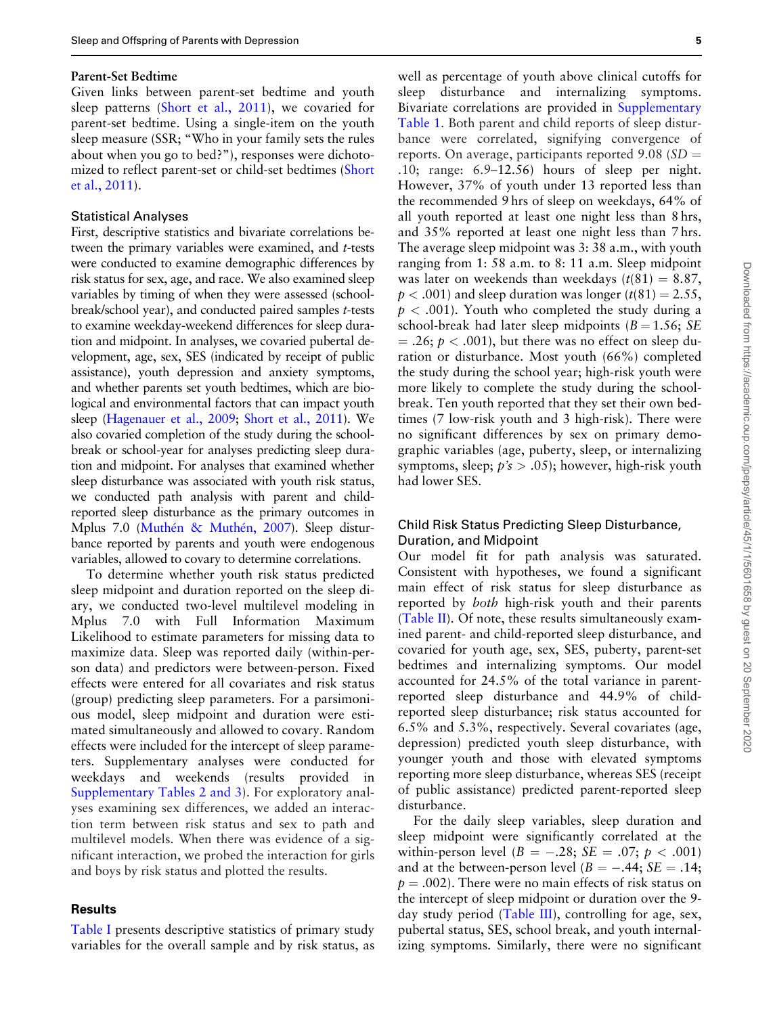#### Parent-Set Bedtime

Given links between parent-set bedtime and youth sleep patterns [\(Short et al., 2011\)](#page-9-0), we covaried for parent-set bedtime. Using a single-item on the youth sleep measure (SSR; "Who in your family sets the rules about when you go to bed?"), responses were dichotomized to reflect parent-set or child-set bedtimes [\(Short](#page-9-0) [et al., 2011](#page-9-0)).

#### Statistical Analyses

First, descriptive statistics and bivariate correlations between the primary variables were examined, and t-tests were conducted to examine demographic differences by risk status for sex, age, and race. We also examined sleep variables by timing of when they were assessed (schoolbreak/school year), and conducted paired samples t-tests to examine weekday-weekend differences for sleep duration and midpoint. In analyses, we covaried pubertal development, age, sex, SES (indicated by receipt of public assistance), youth depression and anxiety symptoms, and whether parents set youth bedtimes, which are biological and environmental factors that can impact youth sleep [\(Hagenauer et al., 2009](#page-8-0); [Short et al., 2011](#page-9-0)). We also covaried completion of the study during the schoolbreak or school-year for analyses predicting sleep duration and midpoint. For analyses that examined whether sleep disturbance was associated with youth risk status, we conducted path analysis with parent and childreported sleep disturbance as the primary outcomes in Mplus 7.0 [\(Muth](#page-9-0)én & Muthé[n, 2007](#page-9-0)). Sleep disturbance reported by parents and youth were endogenous variables, allowed to covary to determine correlations.

To determine whether youth risk status predicted sleep midpoint and duration reported on the sleep diary, we conducted two-level multilevel modeling in Mplus 7.0 with Full Information Maximum Likelihood to estimate parameters for missing data to maximize data. Sleep was reported daily (within-person data) and predictors were between-person. Fixed effects were entered for all covariates and risk status (group) predicting sleep parameters. For a parsimonious model, sleep midpoint and duration were estimated simultaneously and allowed to covary. Random effects were included for the intercept of sleep parameters. Supplementary analyses were conducted for weekdays and weekends (results provided in [Supplementary Tables 2 and 3](https://academic.oup.com/jpepsy/article-lookup/doi/10.1093/jpepsy/jsz079#supplementary-data)). For exploratory analyses examining sex differences, we added an interaction term between risk status and sex to path and multilevel models. When there was evidence of a significant interaction, we probed the interaction for girls and boys by risk status and plotted the results.

#### **Results**

[Table I](#page-3-0) presents descriptive statistics of primary study variables for the overall sample and by risk status, as

well as percentage of youth above clinical cutoffs for sleep disturbance and internalizing symptoms. Bivariate correlations are provided in [Supplementary](https://academic.oup.com/jpepsy/article-lookup/doi/10.1093/jpepsy/jsz079#supplementary-data) [Table 1.](https://academic.oup.com/jpepsy/article-lookup/doi/10.1093/jpepsy/jsz079#supplementary-data) Both parent and child reports of sleep disturbance were correlated, signifying convergence of reports. On average, participants reported  $9.08$  (SD = .10; range: 6.9–12.56) hours of sleep per night. However, 37% of youth under 13 reported less than the recommended 9 hrs of sleep on weekdays, 64% of all youth reported at least one night less than 8 hrs, and 35% reported at least one night less than 7 hrs. The average sleep midpoint was 3: 38 a.m., with youth ranging from 1: 58 a.m. to 8: 11 a.m. Sleep midpoint was later on weekends than weekdays  $(t(81) = 8.87,$  $p < .001$ ) and sleep duration was longer  $(t(81) = 2.55$ ,  $p < .001$ ). Youth who completed the study during a school-break had later sleep midpoints ( $B = 1.56$ ; SE  $= .26$ ;  $p < .001$ ), but there was no effect on sleep duration or disturbance. Most youth (66%) completed the study during the school year; high-risk youth were more likely to complete the study during the schoolbreak. Ten youth reported that they set their own bedtimes (7 low-risk youth and 3 high-risk). There were no significant differences by sex on primary demographic variables (age, puberty, sleep, or internalizing symptoms, sleep;  $\dot{p}$ 's > .05); however, high-risk youth had lower SES.

## Child Risk Status Predicting Sleep Disturbance, Duration, and Midpoint

Our model fit for path analysis was saturated. Consistent with hypotheses, we found a significant main effect of risk status for sleep disturbance as reported by both high-risk youth and their parents ([Table II\)](#page-5-0). Of note, these results simultaneously examined parent- and child-reported sleep disturbance, and covaried for youth age, sex, SES, puberty, parent-set bedtimes and internalizing symptoms. Our model accounted for 24.5% of the total variance in parentreported sleep disturbance and 44.9% of childreported sleep disturbance; risk status accounted for 6.5% and 5.3%, respectively. Several covariates (age, depression) predicted youth sleep disturbance, with younger youth and those with elevated symptoms reporting more sleep disturbance, whereas SES (receipt of public assistance) predicted parent-reported sleep disturbance.

For the daily sleep variables, sleep duration and sleep midpoint were significantly correlated at the within-person level ( $B = -.28$ ;  $SE = .07$ ;  $p < .001$ ) and at the between-person level ( $B = -.44$ ;  $SE = .14$ ;  $p = .002$ ). There were no main effects of risk status on the intercept of sleep midpoint or duration over the 9- day study period ([Table III\)](#page-6-0), controlling for age, sex, pubertal status, SES, school break, and youth internalizing symptoms. Similarly, there were no significant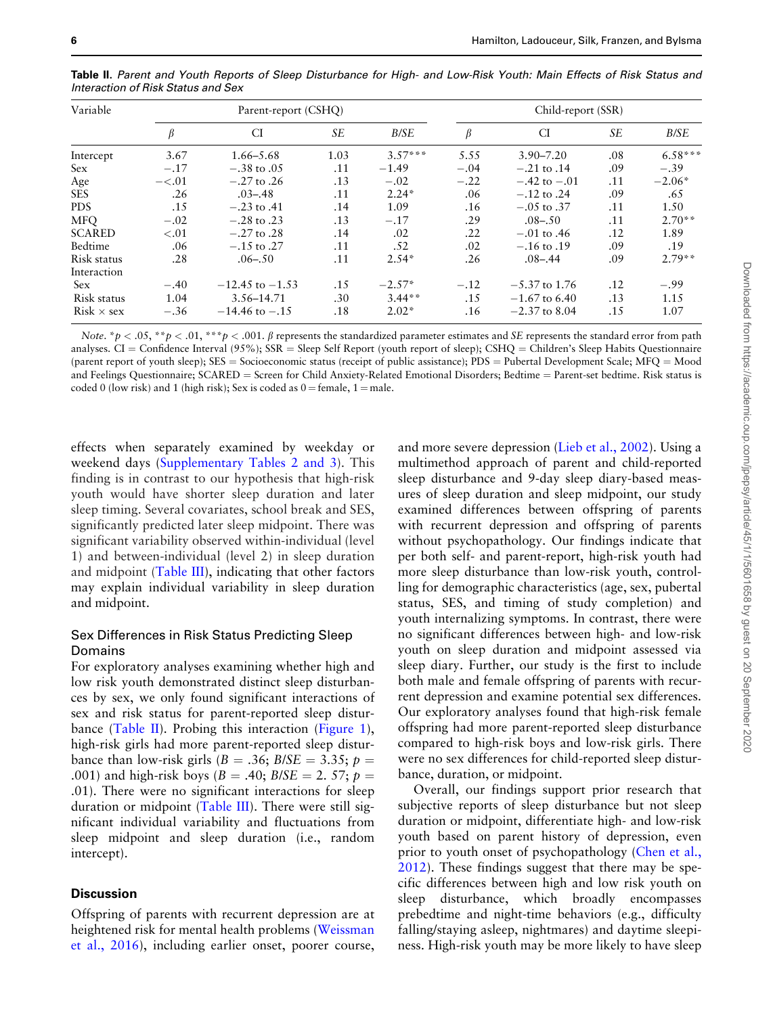| Variable                   | Parent-report (CSHQ) |                     |            |             | Child-report (SSR) |                  |            |             |
|----------------------------|----------------------|---------------------|------------|-------------|--------------------|------------------|------------|-------------|
|                            | β                    | CI                  | SE         | <b>B/SE</b> | β                  | CI               | SE         | <b>B/SE</b> |
| Intercept                  | 3.67                 | $1.66 - 5.68$       | 1.03       | $3.57***$   | 5.55               | $3.90 - 7.20$    | .08        | $6.58***$   |
| <b>Sex</b>                 | $-.17$               | $-.38$ to 0.5       | .11        | $-1.49$     | $-.04$             | $-.21$ to $.14$  | .09        | $-.39$      |
| Age                        | $-<.01$              | $-.27$ to .26       | .13        | $-.02$      | $-.22$             | $-.42$ to $-.01$ | .11        | $-2.06*$    |
| <b>SES</b>                 | .26                  | $.03 - .48$         | .11        | $2.24*$     | .06                | $-.12$ to $.24$  | .09        | .65         |
| <b>PDS</b>                 | .15                  | $-.23$ to $.41$     | .14        | 1.09        | .16                | $-.05$ to $.37$  | .11        | 1.50        |
| <b>MFO</b>                 | $-.02$               | $-.28$ to .23       | .13        | $-.17$      | .29                | $.08 - .50$      | .11        | $2.70**$    |
| <b>SCARED</b>              | $-.01$               | $-.27$ to $.28$     | .14        | .02         | .22                | $-.01$ to .46    | .12        | 1.89        |
| Bedtime                    | .06                  | $-.15$ to .27       | .11        | .52         | .02                | $-.16$ to $.19$  | .09        | .19         |
| Risk status<br>Interaction | .28                  | $.06 - .50$         | .11        | $2.54*$     | .26                | $.08 - .44$      | .09        | $2.79**$    |
| <b>Sex</b>                 | $-.40$               | $-12.45$ to $-1.53$ | .15        | $-2.57*$    | $-.12$             | $-5.37$ to 1.76  | .12        | $-.99$      |
| Risk status                | 1.04                 | 3.56–14.71          |            | $3.44**$    |                    | $-1.67$ to 6.40  |            | 1.15        |
| $Risk \times sex$          | $-.36$               | $-14.46$ to $-.15$  | .30<br>.18 | $2.02*$     | .15<br>.16         | $-2.37$ to 8.04  | .13<br>.15 | 1.07        |

<span id="page-5-0"></span>Table II. Parent and Youth Reports of Sleep Disturbance for High- and Low-Risk Youth: Main Effects of Risk Status and Interaction of Risk Status and Sex

Note. \*p < .05, \*\*p < .01, \*\*\*p < .001.  $\beta$  represents the standardized parameter estimates and SE represents the standard error from path analyses. CI = Confidence Interval (95%); SSR = Sleep Self Report (youth report of sleep); CSHQ = Children's Sleep Habits Questionnaire (parent report of youth sleep);  $SES = Socioeconomic$  status (receipt of public assistance);  $PDS = Pubertal$  Development Scale;  $MFO = Mod$ and Feelings Questionnaire; SCARED = Screen for Child Anxiety-Related Emotional Disorders; Bedtime = Parent-set bedtime. Risk status is coded 0 (low risk) and 1 (high risk); Sex is coded as  $0 =$  female,  $1 =$  male.

effects when separately examined by weekday or weekend days [\(Supplementary Tables 2 and 3\)](https://academic.oup.com/jpepsy/article-lookup/doi/10.1093/jpepsy/jsz079#supplementary-data). This finding is in contrast to our hypothesis that high-risk youth would have shorter sleep duration and later sleep timing. Several covariates, school break and SES, significantly predicted later sleep midpoint. There was significant variability observed within-individual (level 1) and between-individual (level 2) in sleep duration and midpoint ([Table III\)](#page-6-0), indicating that other factors may explain individual variability in sleep duration and midpoint.

## Sex Differences in Risk Status Predicting Sleep Domains

For exploratory analyses examining whether high and low risk youth demonstrated distinct sleep disturbances by sex, we only found significant interactions of sex and risk status for parent-reported sleep distur-bance (Table II). Probing this interaction [\(Figure 1](#page-6-0)), high-risk girls had more parent-reported sleep disturbance than low-risk girls ( $B = .36$ ;  $B/SE = 3.35$ ;  $p =$ .001) and high-risk boys ( $B = .40$ ;  $B/SE = 2.57$ ;  $p =$ .01). There were no significant interactions for sleep duration or midpoint [\(Table III](#page-6-0)). There were still significant individual variability and fluctuations from sleep midpoint and sleep duration (i.e., random intercept).

## **Discussion**

Offspring of parents with recurrent depression are at heightened risk for mental health problems ([Weissman](#page-9-0) [et al., 2016](#page-9-0)), including earlier onset, poorer course,

and more severe depression [\(Lieb et al., 2002\)](#page-9-0). Using a multimethod approach of parent and child-reported sleep disturbance and 9-day sleep diary-based measures of sleep duration and sleep midpoint, our study examined differences between offspring of parents with recurrent depression and offspring of parents without psychopathology. Our findings indicate that per both self- and parent-report, high-risk youth had more sleep disturbance than low-risk youth, controlling for demographic characteristics (age, sex, pubertal status, SES, and timing of study completion) and youth internalizing symptoms. In contrast, there were no significant differences between high- and low-risk youth on sleep duration and midpoint assessed via sleep diary. Further, our study is the first to include both male and female offspring of parents with recurrent depression and examine potential sex differences. Our exploratory analyses found that high-risk female offspring had more parent-reported sleep disturbance compared to high-risk boys and low-risk girls. There were no sex differences for child-reported sleep disturbance, duration, or midpoint.

Overall, our findings support prior research that subjective reports of sleep disturbance but not sleep duration or midpoint, differentiate high- and low-risk youth based on parent history of depression, even prior to youth onset of psychopathology ([Chen et al.,](#page-8-0) [2012\)](#page-8-0). These findings suggest that there may be specific differences between high and low risk youth on sleep disturbance, which broadly encompasses prebedtime and night-time behaviors (e.g., difficulty falling/staying asleep, nightmares) and daytime sleepiness. High-risk youth may be more likely to have sleep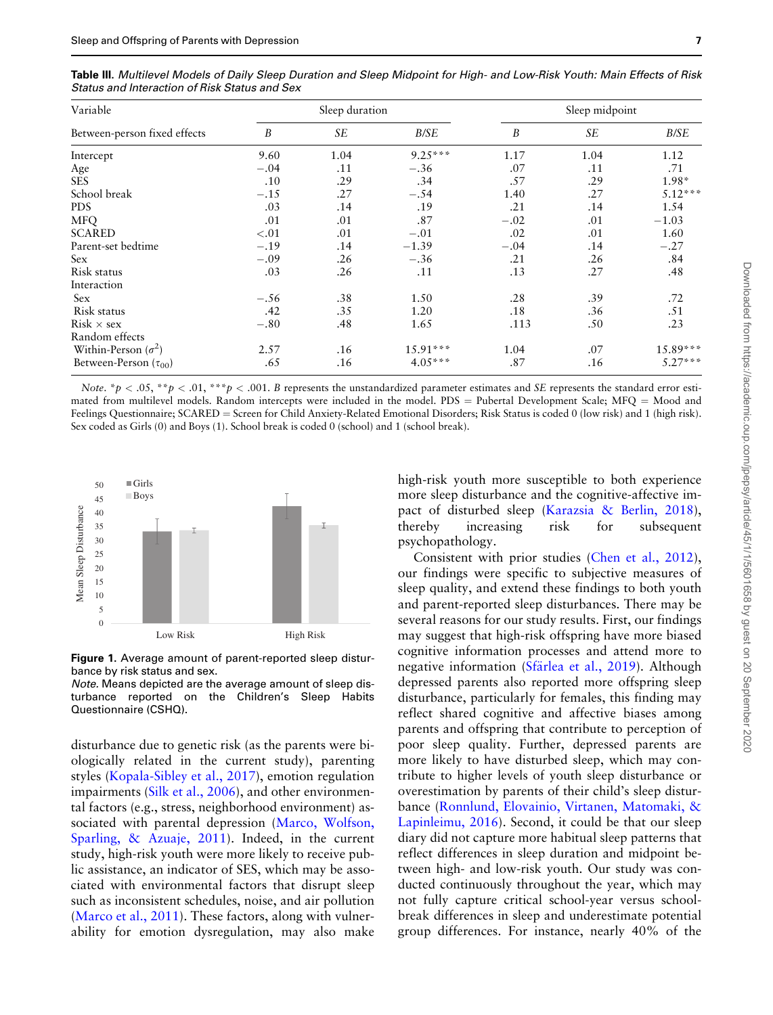| Variable                     | Sleep duration   |      |             | Sleep midpoint   |           |             |  |  |  |
|------------------------------|------------------|------|-------------|------------------|-----------|-------------|--|--|--|
| Between-person fixed effects | $\boldsymbol{B}$ | SE   | <b>B/SE</b> | $\boldsymbol{B}$ | <b>SE</b> | <b>B/SE</b> |  |  |  |
| Intercept                    | 9.60             | 1.04 | $9.25***$   | 1.17             | 1.04      | 1.12        |  |  |  |
| Age                          | $-.04$           | .11  | $-.36$      | .07              | .11       | .71         |  |  |  |
| <b>SES</b>                   | .10              | .29  | .34         | .57              | .29       | $1.98*$     |  |  |  |
| School break                 | $-.15$           | .27  | $-.54$      | 1.40             | .27       | $5.12***$   |  |  |  |
| <b>PDS</b>                   | .03              | .14  | .19         | .21              | .14       | 1.54        |  |  |  |
| <b>MFQ</b>                   | .01              | .01  | .87         | $-.02$           | .01       | $-1.03$     |  |  |  |
| <b>SCARED</b>                | < 0.01           | .01  | $-.01$      | .02              | .01       | 1.60        |  |  |  |
| Parent-set bedtime           | $-.19$           | .14  | $-1.39$     | $-.04$           | .14       | $-.27$      |  |  |  |
| <b>Sex</b>                   | $-.09$           | .26  | $-.36$      | .21              | .26       | .84         |  |  |  |
| Risk status                  | .03              | .26  | .11         | .13              | .27       | .48         |  |  |  |
| Interaction                  |                  |      |             |                  |           |             |  |  |  |
| Sex                          | $-.56$           | .38  | 1.50        | .28              | .39       | .72         |  |  |  |
| Risk status                  | .42              | .35  | 1.20        | .18              | .36       | .51         |  |  |  |
| $Risk \times sex$            | $-.80$           | .48  | 1.65        | .113             | .50       | .23         |  |  |  |
| Random effects               |                  |      |             |                  |           |             |  |  |  |
| Within-Person $(\sigma^2)$   | 2.57             | .16  | $15.91***$  | 1.04             | .07       | $15.89***$  |  |  |  |
| Between-Person $(\tau_{00})$ | .65              | .16  | $4.05***$   | .87              | .16       | $5.27***$   |  |  |  |

<span id="page-6-0"></span>Table III. Multilevel Models of Daily Sleep Duration and Sleep Midpoint for High- and Low-Risk Youth: Main Effects of Risk Status and Interaction of Risk Status and Sex

Note. \*p < .05, \*\*p < .01, \*\*\*p < .001. B represents the unstandardized parameter estimates and SE represents the standard error estimated from multilevel models. Random intercepts were included in the model.  $PDS =$  Pubertal Development Scale;  $MFQ =$  Mood and Feelings Questionnaire; SCARED = Screen for Child Anxiety-Related Emotional Disorders; Risk Status is coded 0 (low risk) and 1 (high risk). Sex coded as Girls (0) and Boys (1). School break is coded 0 (school) and 1 (school break).



Figure 1. Average amount of parent-reported sleep disturbance by risk status and sex.

Note. Means depicted are the average amount of sleep disturbance reported on the Children's Sleep Habits Questionnaire (CSHQ).

disturbance due to genetic risk (as the parents were biologically related in the current study), parenting styles [\(Kopala-Sibley et al., 2017\)](#page-9-0), emotion regulation impairments [\(Silk et al., 2006\)](#page-9-0), and other environmental factors (e.g., stress, neighborhood environment) associated with parental depression ([Marco, Wolfson,](#page-9-0) [Sparling, & Azuaje, 2011\)](#page-9-0). Indeed, in the current study, high-risk youth were more likely to receive public assistance, an indicator of SES, which may be associated with environmental factors that disrupt sleep such as inconsistent schedules, noise, and air pollution ([Marco et al., 2011](#page-9-0)). These factors, along with vulnerability for emotion dysregulation, may also make

high-risk youth more susceptible to both experience more sleep disturbance and the cognitive-affective impact of disturbed sleep ([Karazsia](#page-9-0) & [Berlin, 2018\)](#page-9-0), thereby increasing risk for subsequent psychopathology.

Consistent with prior studies [\(Chen et al., 2012\)](#page-8-0), our findings were specific to subjective measures of sleep quality, and extend these findings to both youth and parent-reported sleep disturbances. There may be several reasons for our study results. First, our findings may suggest that high-risk offspring have more biased cognitive information processes and attend more to negative information [\(Sf](#page-9-0)ä[rlea et al., 2019](#page-9-0)). Although depressed parents also reported more offspring sleep disturbance, particularly for females, this finding may reflect shared cognitive and affective biases among parents and offspring that contribute to perception of poor sleep quality. Further, depressed parents are more likely to have disturbed sleep, which may contribute to higher levels of youth sleep disturbance or overestimation by parents of their child's sleep disturbance [\(Ronnlund, Elovainio, Virtanen, Matomaki,](#page-9-0) & [Lapinleimu, 2016\)](#page-9-0). Second, it could be that our sleep diary did not capture more habitual sleep patterns that reflect differences in sleep duration and midpoint between high- and low-risk youth. Our study was conducted continuously throughout the year, which may not fully capture critical school-year versus schoolbreak differences in sleep and underestimate potential group differences. For instance, nearly 40% of the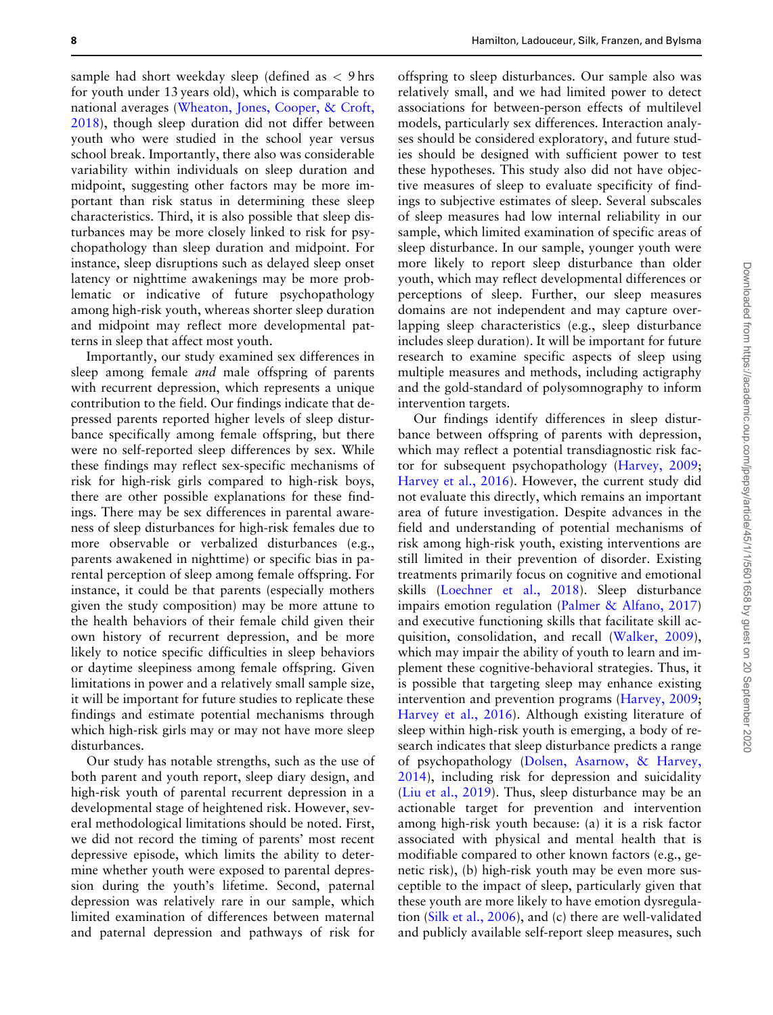sample had short weekday sleep (defined as  $<$  9 hrs for youth under 13 years old), which is comparable to national averages ([Wheaton, Jones, Cooper, & Croft,](#page-9-0) [2018\)](#page-9-0), though sleep duration did not differ between youth who were studied in the school year versus school break. Importantly, there also was considerable variability within individuals on sleep duration and midpoint, suggesting other factors may be more important than risk status in determining these sleep characteristics. Third, it is also possible that sleep disturbances may be more closely linked to risk for psychopathology than sleep duration and midpoint. For instance, sleep disruptions such as delayed sleep onset latency or nighttime awakenings may be more problematic or indicative of future psychopathology among high-risk youth, whereas shorter sleep duration and midpoint may reflect more developmental patterns in sleep that affect most youth.

Importantly, our study examined sex differences in sleep among female *and* male offspring of parents with recurrent depression, which represents a unique contribution to the field. Our findings indicate that depressed parents reported higher levels of sleep disturbance specifically among female offspring, but there were no self-reported sleep differences by sex. While these findings may reflect sex-specific mechanisms of risk for high-risk girls compared to high-risk boys, there are other possible explanations for these findings. There may be sex differences in parental awareness of sleep disturbances for high-risk females due to more observable or verbalized disturbances (e.g., parents awakened in nighttime) or specific bias in parental perception of sleep among female offspring. For instance, it could be that parents (especially mothers given the study composition) may be more attune to the health behaviors of their female child given their own history of recurrent depression, and be more likely to notice specific difficulties in sleep behaviors or daytime sleepiness among female offspring. Given limitations in power and a relatively small sample size, it will be important for future studies to replicate these findings and estimate potential mechanisms through which high-risk girls may or may not have more sleep disturbances.

Our study has notable strengths, such as the use of both parent and youth report, sleep diary design, and high-risk youth of parental recurrent depression in a developmental stage of heightened risk. However, several methodological limitations should be noted. First, we did not record the timing of parents' most recent depressive episode, which limits the ability to determine whether youth were exposed to parental depression during the youth's lifetime. Second, paternal depression was relatively rare in our sample, which limited examination of differences between maternal and paternal depression and pathways of risk for

offspring to sleep disturbances. Our sample also was relatively small, and we had limited power to detect associations for between-person effects of multilevel models, particularly sex differences. Interaction analyses should be considered exploratory, and future studies should be designed with sufficient power to test these hypotheses. This study also did not have objective measures of sleep to evaluate specificity of findings to subjective estimates of sleep. Several subscales of sleep measures had low internal reliability in our sample, which limited examination of specific areas of sleep disturbance. In our sample, younger youth were more likely to report sleep disturbance than older youth, which may reflect developmental differences or perceptions of sleep. Further, our sleep measures domains are not independent and may capture overlapping sleep characteristics (e.g., sleep disturbance includes sleep duration). It will be important for future research to examine specific aspects of sleep using multiple measures and methods, including actigraphy and the gold-standard of polysomnography to inform intervention targets.

Our findings identify differences in sleep disturbance between offspring of parents with depression, which may reflect a potential transdiagnostic risk factor for subsequent psychopathology [\(Harvey, 2009;](#page-8-0) [Harvey et al., 2016\)](#page-8-0). However, the current study did not evaluate this directly, which remains an important area of future investigation. Despite advances in the field and understanding of potential mechanisms of risk among high-risk youth, existing interventions are still limited in their prevention of disorder. Existing treatments primarily focus on cognitive and emotional skills ([Loechner et al., 2018\)](#page-9-0). Sleep disturbance impairs emotion regulation ([Palmer](#page-9-0) & [Alfano, 2017](#page-9-0)) and executive functioning skills that facilitate skill acquisition, consolidation, and recall ([Walker, 2009\)](#page-9-0), which may impair the ability of youth to learn and implement these cognitive-behavioral strategies. Thus, it is possible that targeting sleep may enhance existing intervention and prevention programs [\(Harvey, 2009;](#page-8-0) [Harvey et al., 2016\)](#page-8-0). Although existing literature of sleep within high-risk youth is emerging, a body of research indicates that sleep disturbance predicts a range of psychopathology [\(Dolsen, Asarnow, & Harvey,](#page-8-0) [2014\)](#page-8-0), including risk for depression and suicidality ([Liu et al., 2019\)](#page-9-0). Thus, sleep disturbance may be an actionable target for prevention and intervention among high-risk youth because: (a) it is a risk factor associated with physical and mental health that is modifiable compared to other known factors (e.g., genetic risk), (b) high-risk youth may be even more susceptible to the impact of sleep, particularly given that these youth are more likely to have emotion dysregulation ([Silk et al., 2006\)](#page-9-0), and (c) there are well-validated and publicly available self-report sleep measures, such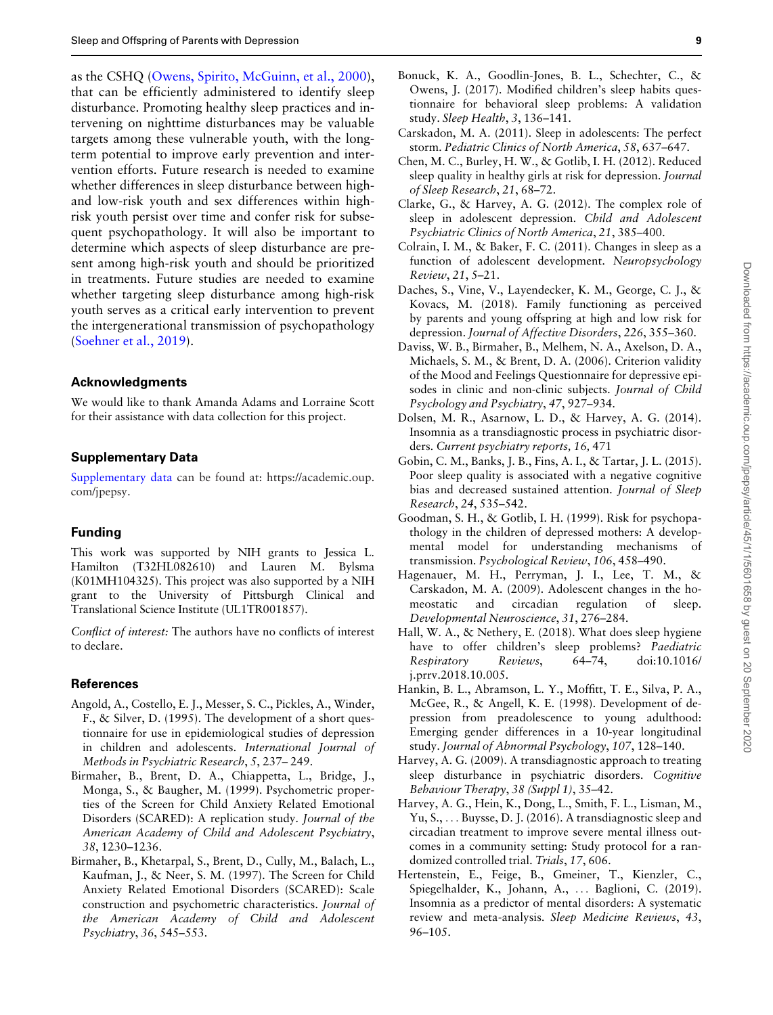<span id="page-8-0"></span>as the CSHQ ([Owens, Spirito, McGuinn, et al., 2000\)](#page-9-0), that can be efficiently administered to identify sleep disturbance. Promoting healthy sleep practices and intervening on nighttime disturbances may be valuable targets among these vulnerable youth, with the longterm potential to improve early prevention and intervention efforts. Future research is needed to examine whether differences in sleep disturbance between highand low-risk youth and sex differences within highrisk youth persist over time and confer risk for subsequent psychopathology. It will also be important to determine which aspects of sleep disturbance are present among high-risk youth and should be prioritized in treatments. Future studies are needed to examine whether targeting sleep disturbance among high-risk youth serves as a critical early intervention to prevent the intergenerational transmission of psychopathology ([Soehner et al., 2019](#page-9-0)).

## Acknowledgments

We would like to thank Amanda Adams and Lorraine Scott for their assistance with data collection for this project.

## Supplementary Data

[Supplementary data](https://academic.oup.com/jpepsy/article-lookup/doi/10.1093/jpepsy/jsz079#supplementary-data) can be found at: [https://academic.oup.](https://academic.oup.com/jpepsy) [com/jpepsy](https://academic.oup.com/jpepsy).

## Funding

This work was supported by NIH grants to Jessica L. Hamilton (T32HL082610) and Lauren M. Bylsma (K01MH104325). This project was also supported by a NIH grant to the University of Pittsburgh Clinical and Translational Science Institute (UL1TR001857).

Conflict of interest: The authors have no conflicts of interest to declare.

#### **References**

- Angold, A., Costello, E. J., Messer, S. C., Pickles, A., Winder, F., & Silver, D. (1995). The development of a short questionnaire for use in epidemiological studies of depression in children and adolescents. International Journal of Methods in Psychiatric Research, 5, 237– 249.
- Birmaher, B., Brent, D. A., Chiappetta, L., Bridge, J., Monga, S., & Baugher, M. (1999). Psychometric properties of the Screen for Child Anxiety Related Emotional Disorders (SCARED): A replication study. Journal of the American Academy of Child and Adolescent Psychiatry, 38, 1230–1236.
- Birmaher, B., Khetarpal, S., Brent, D., Cully, M., Balach, L., Kaufman, J., & Neer, S. M. (1997). The Screen for Child Anxiety Related Emotional Disorders (SCARED): Scale construction and psychometric characteristics. Journal of the American Academy of Child and Adolescent Psychiatry, 36, 545–553.
- Bonuck, K. A., Goodlin-Jones, B. L., Schechter, C., & Owens, J. (2017). Modified children's sleep habits questionnaire for behavioral sleep problems: A validation study. Sleep Health, 3, 136–141.
- Carskadon, M. A. (2011). Sleep in adolescents: The perfect storm. Pediatric Clinics of North America, 58, 637–647.
- Chen, M. C., Burley, H. W., & Gotlib, I. H. (2012). Reduced sleep quality in healthy girls at risk for depression. Journal of Sleep Research, 21, 68–72.
- Clarke, G., & Harvey, A. G. (2012). The complex role of sleep in adolescent depression. Child and Adolescent Psychiatric Clinics of North America, 21, 385–400.
- Colrain, I. M., & Baker, F. C. (2011). Changes in sleep as a function of adolescent development. Neuropsychology Review, 21, 5–21.
- Daches, S., Vine, V., Layendecker, K. M., George, C. J., & Kovacs, M. (2018). Family functioning as perceived by parents and young offspring at high and low risk for depression. Journal of Affective Disorders, 226, 355–360.
- Daviss, W. B., Birmaher, B., Melhem, N. A., Axelson, D. A., Michaels, S. M., & Brent, D. A. (2006). Criterion validity of the Mood and Feelings Questionnaire for depressive episodes in clinic and non-clinic subjects. Journal of Child Psychology and Psychiatry, 47, 927–934.
- Dolsen, M. R., Asarnow, L. D., & Harvey, A. G. (2014). Insomnia as a transdiagnostic process in psychiatric disorders. Current psychiatry reports, 16, 471
- Gobin, C. M., Banks, J. B., Fins, A. I., & Tartar, J. L. (2015). Poor sleep quality is associated with a negative cognitive bias and decreased sustained attention. Journal of Sleep Research, 24, 535–542.
- Goodman, S. H., & Gotlib, I. H. (1999). Risk for psychopathology in the children of depressed mothers: A developmental model for understanding mechanisms of transmission. Psychological Review, 106, 458–490.
- Hagenauer, M. H., Perryman, J. I., Lee, T. M., & Carskadon, M. A. (2009). Adolescent changes in the homeostatic and circadian regulation of sleep. Developmental Neuroscience, 31, 276–284.
- Hall, W. A., & Nethery, E. (2018). What does sleep hygiene have to offer children's sleep problems? Paediatric Respiratory Reviews, 64–74, doi:10.1016/ j.prrv.2018.10.005.
- Hankin, B. L., Abramson, L. Y., Moffitt, T. E., Silva, P. A., McGee, R., & Angell, K. E. (1998). Development of depression from preadolescence to young adulthood: Emerging gender differences in a 10-year longitudinal study. Journal of Abnormal Psychology, 107, 128–140.
- Harvey, A. G. (2009). A transdiagnostic approach to treating sleep disturbance in psychiatric disorders. Cognitive Behaviour Therapy, 38 (Suppl 1), 35–42.
- Harvey, A. G., Hein, K., Dong, L., Smith, F. L., Lisman, M., Yu, S., ... Buysse, D. J. (2016). A transdiagnostic sleep and circadian treatment to improve severe mental illness outcomes in a community setting: Study protocol for a randomized controlled trial. Trials, 17, 606.
- Hertenstein, E., Feige, B., Gmeiner, T., Kienzler, C., Spiegelhalder, K., Johann, A., ... Baglioni, C. (2019). Insomnia as a predictor of mental disorders: A systematic review and meta-analysis. Sleep Medicine Reviews, 43, 96–105.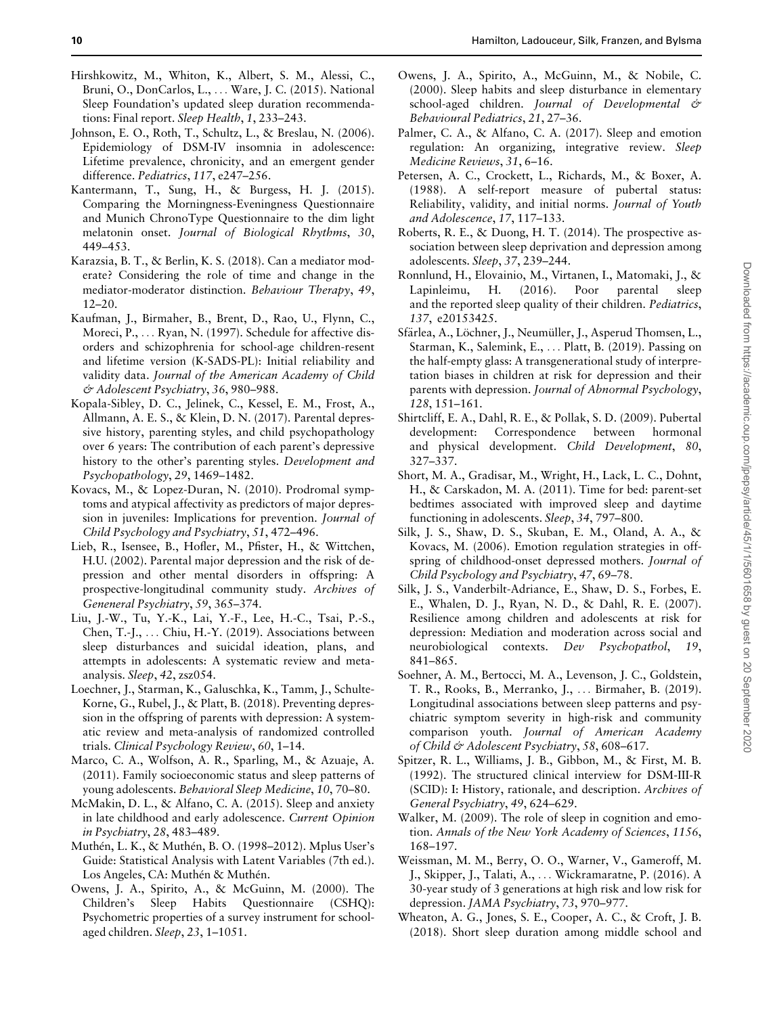- <span id="page-9-0"></span>Hirshkowitz, M., Whiton, K., Albert, S. M., Alessi, C., Bruni, O., DonCarlos, L., ... Ware, J. C. (2015). National Sleep Foundation's updated sleep duration recommendations: Final report. Sleep Health, 1, 233–243.
- Johnson, E. O., Roth, T., Schultz, L., & Breslau, N. (2006). Epidemiology of DSM-IV insomnia in adolescence: Lifetime prevalence, chronicity, and an emergent gender difference. Pediatrics, 117, e247–256.
- Kantermann, T., Sung, H., & Burgess, H. J. (2015). Comparing the Morningness-Eveningness Questionnaire and Munich ChronoType Questionnaire to the dim light melatonin onset. Journal of Biological Rhythms, 30, 449–453.
- Karazsia, B. T., & Berlin, K. S. (2018). Can a mediator moderate? Considering the role of time and change in the mediator-moderator distinction. Behaviour Therapy, 49, 12–20.
- Kaufman, J., Birmaher, B., Brent, D., Rao, U., Flynn, C., Moreci, P., ... Ryan, N. (1997). Schedule for affective disorders and schizophrenia for school-age children-resent and lifetime version (K-SADS-PL): Initial reliability and validity data. Journal of the American Academy of Child & Adolescent Psychiatry, 36, 980–988.
- Kopala-Sibley, D. C., Jelinek, C., Kessel, E. M., Frost, A., Allmann, A. E. S., & Klein, D. N. (2017). Parental depressive history, parenting styles, and child psychopathology over 6 years: The contribution of each parent's depressive history to the other's parenting styles. Development and Psychopathology, 29, 1469–1482.
- Kovacs, M., & Lopez-Duran, N. (2010). Prodromal symptoms and atypical affectivity as predictors of major depression in juveniles: Implications for prevention. Journal of Child Psychology and Psychiatry, 51, 472–496.
- Lieb, R., Isensee, B., Hofler, M., Pfister, H., & Wittchen, H.U. (2002). Parental major depression and the risk of depression and other mental disorders in offspring: A prospective-longitudinal community study. Archives of Geneneral Psychiatry, 59, 365–374.
- Liu, J.-W., Tu, Y.-K., Lai, Y.-F., Lee, H.-C., Tsai, P.-S., Chen, T.-J., ... Chiu, H.-Y. (2019). Associations between sleep disturbances and suicidal ideation, plans, and attempts in adolescents: A systematic review and metaanalysis. Sleep, 42, zsz054.
- Loechner, J., Starman, K., Galuschka, K., Tamm, J., Schulte-Korne, G., Rubel, J., & Platt, B. (2018). Preventing depression in the offspring of parents with depression: A systematic review and meta-analysis of randomized controlled trials. Clinical Psychology Review, 60, 1–14.
- Marco, C. A., Wolfson, A. R., Sparling, M., & Azuaje, A. (2011). Family socioeconomic status and sleep patterns of young adolescents. Behavioral Sleep Medicine, 10, 70–80.
- McMakin, D. L., & Alfano, C. A. (2015). Sleep and anxiety in late childhood and early adolescence. Current Opinion in Psychiatry, 28, 483–489.
- Muthén, L. K., & Muthén, B. O. (1998–2012). Mplus User's Guide: Statistical Analysis with Latent Variables (7th ed.). Los Angeles, CA: Muthén & Muthén.
- Owens, J. A., Spirito, A., & McGuinn, M. (2000). The Children's Sleep Habits Questionnaire (CSHQ): Psychometric properties of a survey instrument for schoolaged children. Sleep, 23, 1–1051.
- Owens, J. A., Spirito, A., McGuinn, M., & Nobile, C. (2000). Sleep habits and sleep disturbance in elementary school-aged children. Journal of Developmental & Behavioural Pediatrics, 21, 27–36.
- Palmer, C. A., & Alfano, C. A. (2017). Sleep and emotion regulation: An organizing, integrative review. Sleep Medicine Reviews, 31, 6–16.
- Petersen, A. C., Crockett, L., Richards, M., & Boxer, A. (1988). A self-report measure of pubertal status: Reliability, validity, and initial norms. Journal of Youth and Adolescence, 17, 117–133.
- Roberts, R. E., & Duong, H. T. (2014). The prospective association between sleep deprivation and depression among adolescents. Sleep, 37, 239–244.
- Ronnlund, H., Elovainio, M., Virtanen, I., Matomaki, J., & Lapinleimu, H. (2016). Poor parental sleep and the reported sleep quality of their children. Pediatrics, 137, e20153425.
- Sfärlea, A., Löchner, J., Neumüller, J., Asperud Thomsen, L., Starman, K., Salemink, E., ... Platt, B. (2019). Passing on the half-empty glass: A transgenerational study of interpretation biases in children at risk for depression and their parents with depression. Journal of Abnormal Psychology, 128, 151–161.
- Shirtcliff, E. A., Dahl, R. E., & Pollak, S. D. (2009). Pubertal development: Correspondence between hormonal and physical development. Child Development, 80, 327–337.
- Short, M. A., Gradisar, M., Wright, H., Lack, L. C., Dohnt, H., & Carskadon, M. A. (2011). Time for bed: parent-set bedtimes associated with improved sleep and daytime functioning in adolescents. Sleep, 34, 797–800.
- Silk, J. S., Shaw, D. S., Skuban, E. M., Oland, A. A., & Kovacs, M. (2006). Emotion regulation strategies in offspring of childhood-onset depressed mothers. Journal of Child Psychology and Psychiatry, 47, 69–78.
- Silk, J. S., Vanderbilt-Adriance, E., Shaw, D. S., Forbes, E. E., Whalen, D. J., Ryan, N. D., & Dahl, R. E. (2007). Resilience among children and adolescents at risk for depression: Mediation and moderation across social and neurobiological contexts. Dev Psychopathol, 19, 841–865.
- Soehner, A. M., Bertocci, M. A., Levenson, J. C., Goldstein, T. R., Rooks, B., Merranko, J., ... Birmaher, B. (2019). Longitudinal associations between sleep patterns and psychiatric symptom severity in high-risk and community comparison youth. Journal of American Academy of Child & Adolescent Psychiatry, 58, 608-617.
- Spitzer, R. L., Williams, J. B., Gibbon, M., & First, M. B. (1992). The structured clinical interview for DSM-III-R (SCID): I: History, rationale, and description. Archives of General Psychiatry, 49, 624–629.
- Walker, M. (2009). The role of sleep in cognition and emotion. Annals of the New York Academy of Sciences, 1156, 168–197.
- Weissman, M. M., Berry, O. O., Warner, V., Gameroff, M. J., Skipper, J., Talati, A., ... Wickramaratne, P. (2016). A 30-year study of 3 generations at high risk and low risk for depression. JAMA Psychiatry, 73, 970–977.
- Wheaton, A. G., Jones, S. E., Cooper, A. C., & Croft, J. B. (2018). Short sleep duration among middle school and